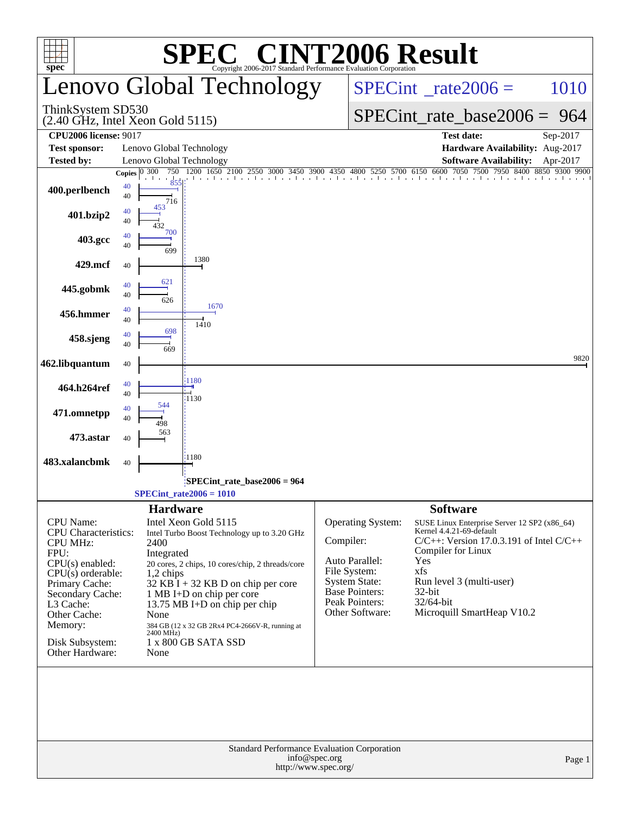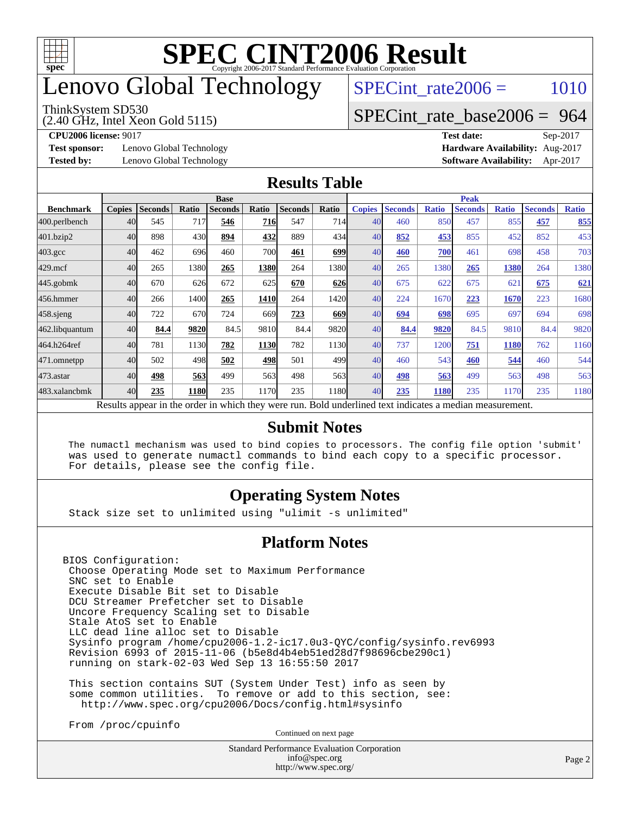

## enovo Global Technology

#### ThinkSystem SD530

(2.40 GHz, Intel Xeon Gold 5115)

 $SPECTnt_rate2006 = 1010$ 

#### [SPECint\\_rate\\_base2006 =](http://www.spec.org/auto/cpu2006/Docs/result-fields.html#SPECintratebase2006) 964

**[Test sponsor:](http://www.spec.org/auto/cpu2006/Docs/result-fields.html#Testsponsor)** Lenovo Global Technology **[Hardware Availability:](http://www.spec.org/auto/cpu2006/Docs/result-fields.html#HardwareAvailability)** Aug-2017

**[CPU2006 license:](http://www.spec.org/auto/cpu2006/Docs/result-fields.html#CPU2006license)** 9017 **[Test date:](http://www.spec.org/auto/cpu2006/Docs/result-fields.html#Testdate)** Sep-2017 **[Tested by:](http://www.spec.org/auto/cpu2006/Docs/result-fields.html#Testedby)** Lenovo Global Technology **[Software Availability:](http://www.spec.org/auto/cpu2006/Docs/result-fields.html#SoftwareAvailability)** Apr-2017

#### **[Results Table](http://www.spec.org/auto/cpu2006/Docs/result-fields.html#ResultsTable)**

|                    | <b>Base</b>   |                |       |                |             |                |       | <b>Peak</b>   |                |              |                                                                                                          |              |                |              |
|--------------------|---------------|----------------|-------|----------------|-------------|----------------|-------|---------------|----------------|--------------|----------------------------------------------------------------------------------------------------------|--------------|----------------|--------------|
| <b>Benchmark</b>   | <b>Copies</b> | <b>Seconds</b> | Ratio | <b>Seconds</b> | Ratio       | <b>Seconds</b> | Ratio | <b>Copies</b> | <b>Seconds</b> | <b>Ratio</b> | <b>Seconds</b>                                                                                           | <b>Ratio</b> | <b>Seconds</b> | <b>Ratio</b> |
| 400.perlbench      | 40            | 545            | 717   | 546            | <u>716 </u> | 547            | 714I  | 40            | 460            | 850          | 457                                                                                                      | 855          | 457            | 855          |
| 401.bzip2          | 40            | 898            | 430   | 894            | 432         | 889            | 434   | 40            | 852            | 453          | 855                                                                                                      | 452          | 852            | 453          |
| $403.\mathrm{gcc}$ | 40            | 462            | 696   | 460            | 700         | 461            | 699   | 40            | 460            | 700          | 461                                                                                                      | 698          | 458            | 703          |
| $429$ .mcf         | 40            | 265            | 1380  | 265            | 1380        | 264            | 1380l | 40            | 265            | 1380         | 265                                                                                                      | 1380         | 264            | 1380         |
| $445$ .gobmk       | 40            | 670            | 626   | 672            | 625         | 670            | 626   | 40            | 675            | 622          | 675                                                                                                      | 62           | 675            | 621          |
| 456.hmmer          | 40            | 266            | 1400  | 265            | 1410        | 264            | 1420  | 40            | 224            | 1670         | 223                                                                                                      | 1670         | 223            | 1680         |
| $458$ .sjeng       | 40            | 722            | 670   | 724            | 669         | 723            | 669   | 40            | 694            | 698          | 695                                                                                                      | 697          | 694            | 698          |
| 462.libquantum     | 40            | 84.4           | 9820  | 84.5           | 9810        | 84.4           | 9820  | 40            | 84.4           | 9820         | 84.5                                                                                                     | 9810         | 84.4           | 9820         |
| 464.h264ref        | 40            | 781            | 1130  | 782            | 1130        | 782            | 1130  | 40            | 737            | 1200         | 751                                                                                                      | 1180         | 762            | 1160         |
| 471.omnetpp        | 40            | 502            | 498   | 502            | 498         | 501            | 499   | 40            | 460            | 543          | 460                                                                                                      | 544          | 460            | 544          |
| $473$ . astar      | 40            | 498            | 563   | 499            | 563         | 498            | 563   | 40            | 498            | 563          | 499                                                                                                      | 563          | 498            | 563          |
| 483.xalancbmk      | 40            | 235            | 1180  | 235            | 1170        | 235            | 1180  | 40            | 235            | 1180         | 235                                                                                                      | 1170         | 235            | 1180         |
|                    |               |                |       |                |             |                |       |               |                |              | Results appear in the order in which they were run. Bold underlined text indicates a median measurement. |              |                |              |

#### **[Submit Notes](http://www.spec.org/auto/cpu2006/Docs/result-fields.html#SubmitNotes)**

 The numactl mechanism was used to bind copies to processors. The config file option 'submit' was used to generate numactl commands to bind each copy to a specific processor. For details, please see the config file.

#### **[Operating System Notes](http://www.spec.org/auto/cpu2006/Docs/result-fields.html#OperatingSystemNotes)**

Stack size set to unlimited using "ulimit -s unlimited"

#### **[Platform Notes](http://www.spec.org/auto/cpu2006/Docs/result-fields.html#PlatformNotes)**

BIOS Configuration: Choose Operating Mode set to Maximum Performance SNC set to Enable Execute Disable Bit set to Disable DCU Streamer Prefetcher set to Disable Uncore Frequency Scaling set to Disable Stale AtoS set to Enable LLC dead line alloc set to Disable Sysinfo program /home/cpu2006-1.2-ic17.0u3-QYC/config/sysinfo.rev6993 Revision 6993 of 2015-11-06 (b5e8d4b4eb51ed28d7f98696cbe290c1) running on stark-02-03 Wed Sep 13 16:55:50 2017

 This section contains SUT (System Under Test) info as seen by some common utilities. To remove or add to this section, see: <http://www.spec.org/cpu2006/Docs/config.html#sysinfo>

From /proc/cpuinfo

Continued on next page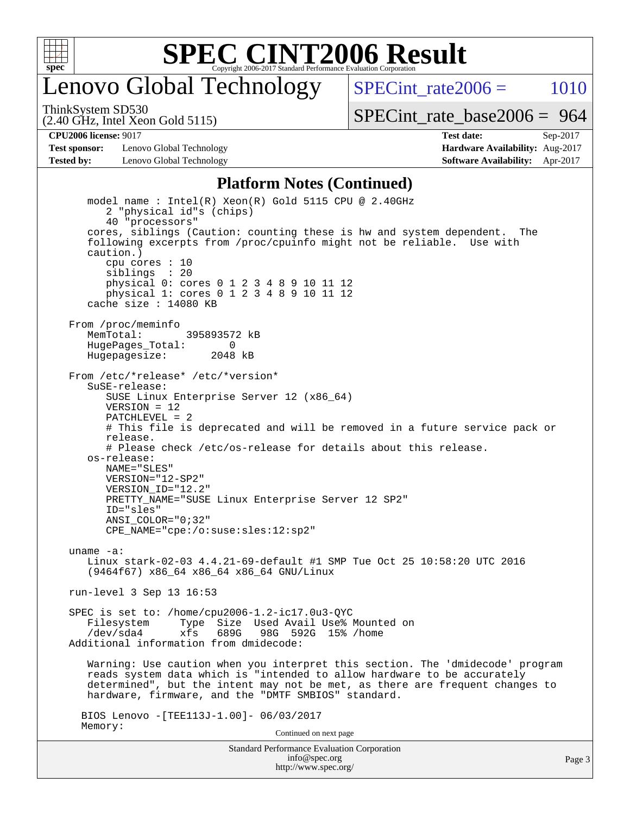

## enovo Global Technology

SPECint rate $2006 = 1010$ 

(2.40 GHz, Intel Xeon Gold 5115) ThinkSystem SD530

[SPECint\\_rate\\_base2006 =](http://www.spec.org/auto/cpu2006/Docs/result-fields.html#SPECintratebase2006) 964

**[Test sponsor:](http://www.spec.org/auto/cpu2006/Docs/result-fields.html#Testsponsor)** Lenovo Global Technology **[Hardware Availability:](http://www.spec.org/auto/cpu2006/Docs/result-fields.html#HardwareAvailability)** Aug-2017 **[Tested by:](http://www.spec.org/auto/cpu2006/Docs/result-fields.html#Testedby)** Lenovo Global Technology **[Software Availability:](http://www.spec.org/auto/cpu2006/Docs/result-fields.html#SoftwareAvailability)** Apr-2017

**[CPU2006 license:](http://www.spec.org/auto/cpu2006/Docs/result-fields.html#CPU2006license)** 9017 **[Test date:](http://www.spec.org/auto/cpu2006/Docs/result-fields.html#Testdate)** Sep-2017

#### **[Platform Notes \(Continued\)](http://www.spec.org/auto/cpu2006/Docs/result-fields.html#PlatformNotes)**

Standard Performance Evaluation Corporation [info@spec.org](mailto:info@spec.org) model name : Intel(R) Xeon(R) Gold 5115 CPU @ 2.40GHz 2 "physical id"s (chips) 40 "processors" cores, siblings (Caution: counting these is hw and system dependent. The following excerpts from /proc/cpuinfo might not be reliable. Use with caution.) cpu cores : 10 siblings : 20 physical 0: cores 0 1 2 3 4 8 9 10 11 12 physical 1: cores 0 1 2 3 4 8 9 10 11 12 cache size : 14080 KB From /proc/meminfo MemTotal: 395893572 kB HugePages\_Total: 0<br>Hugepagesize: 2048 kB Hugepagesize: From /etc/\*release\* /etc/\*version\* SuSE-release: SUSE Linux Enterprise Server 12 (x86\_64) VERSION = 12 PATCHLEVEL = 2 # This file is deprecated and will be removed in a future service pack or release. # Please check /etc/os-release for details about this release. os-release: NAME="SLES" VERSION="12-SP2" VERSION\_ID="12.2" PRETTY\_NAME="SUSE Linux Enterprise Server 12 SP2" ID="sles" ANSI\_COLOR="0;32" CPE\_NAME="cpe:/o:suse:sles:12:sp2" uname -a: Linux stark-02-03 4.4.21-69-default #1 SMP Tue Oct 25 10:58:20 UTC 2016 (9464f67) x86\_64 x86\_64 x86\_64 GNU/Linux run-level 3 Sep 13 16:53 SPEC is set to: /home/cpu2006-1.2-ic17.0u3-QYC Filesystem Type Size Used Avail Use% Mounted on<br>
/dev/sda4 xfs 689G 98G 592G 15% /home xfs 689G 98G 592G 15% /home Additional information from dmidecode: Warning: Use caution when you interpret this section. The 'dmidecode' program reads system data which is "intended to allow hardware to be accurately determined", but the intent may not be met, as there are frequent changes to hardware, firmware, and the "DMTF SMBIOS" standard. BIOS Lenovo -[TEE113J-1.00]- 06/03/2017 Memory: Continued on next page

<http://www.spec.org/>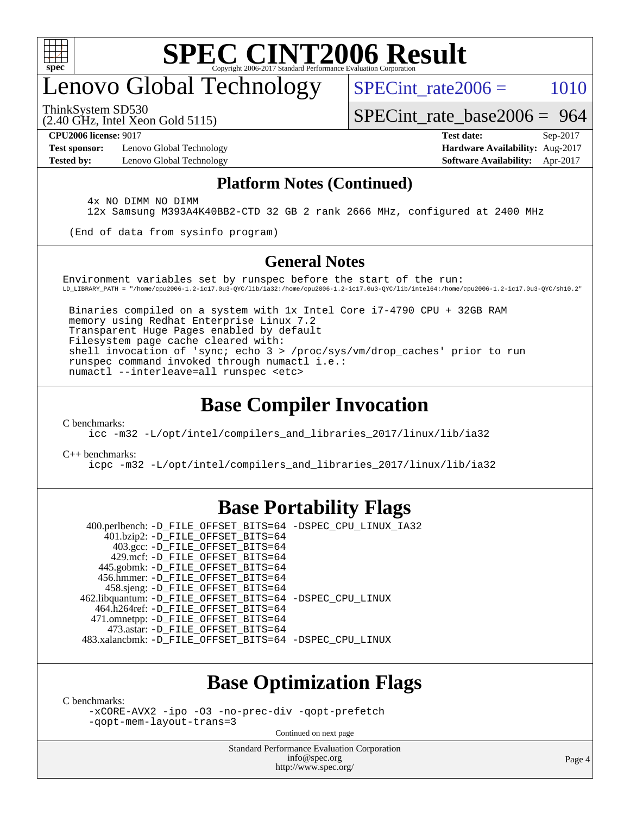

# enovo Global Technology

SPECint rate $2006 = 1010$ 

(2.40 GHz, Intel Xeon Gold 5115) ThinkSystem SD530

[SPECint\\_rate\\_base2006 =](http://www.spec.org/auto/cpu2006/Docs/result-fields.html#SPECintratebase2006) 964

**[Test sponsor:](http://www.spec.org/auto/cpu2006/Docs/result-fields.html#Testsponsor)** Lenovo Global Technology **[Hardware Availability:](http://www.spec.org/auto/cpu2006/Docs/result-fields.html#HardwareAvailability)** Aug-2017

**[CPU2006 license:](http://www.spec.org/auto/cpu2006/Docs/result-fields.html#CPU2006license)** 9017 **[Test date:](http://www.spec.org/auto/cpu2006/Docs/result-fields.html#Testdate)** Sep-2017 **[Tested by:](http://www.spec.org/auto/cpu2006/Docs/result-fields.html#Testedby)** Lenovo Global Technology **[Software Availability:](http://www.spec.org/auto/cpu2006/Docs/result-fields.html#SoftwareAvailability)** Apr-2017

#### **[Platform Notes \(Continued\)](http://www.spec.org/auto/cpu2006/Docs/result-fields.html#PlatformNotes)**

 4x NO DIMM NO DIMM 12x Samsung M393A4K40BB2-CTD 32 GB 2 rank 2666 MHz, configured at 2400 MHz

(End of data from sysinfo program)

#### **[General Notes](http://www.spec.org/auto/cpu2006/Docs/result-fields.html#GeneralNotes)**

Environment variables set by runspec before the start of the run: LD\_LIBRARY\_PATH = "/home/cpu2006-1.2-ic17.0u3-QYC/lib/ia32:/home/cpu2006-1.2-ic17.0u3-QYC/lib/intel64:/home/cpu2006-1.2-ic17.0u3-QYC/sh10.2"

 Binaries compiled on a system with 1x Intel Core i7-4790 CPU + 32GB RAM memory using Redhat Enterprise Linux 7.2 Transparent Huge Pages enabled by default Filesystem page cache cleared with: shell invocation of 'sync; echo 3 > /proc/sys/vm/drop\_caches' prior to run runspec command invoked through numactl i.e.: numactl --interleave=all runspec <etc>

### **[Base Compiler Invocation](http://www.spec.org/auto/cpu2006/Docs/result-fields.html#BaseCompilerInvocation)**

[C benchmarks](http://www.spec.org/auto/cpu2006/Docs/result-fields.html#Cbenchmarks):

[icc -m32 -L/opt/intel/compilers\\_and\\_libraries\\_2017/linux/lib/ia32](http://www.spec.org/cpu2006/results/res2017q4/cpu2006-20170918-50112.flags.html#user_CCbase_intel_icc_c29f3ff5a7ed067b11e4ec10a03f03ae)

[C++ benchmarks:](http://www.spec.org/auto/cpu2006/Docs/result-fields.html#CXXbenchmarks)

[icpc -m32 -L/opt/intel/compilers\\_and\\_libraries\\_2017/linux/lib/ia32](http://www.spec.org/cpu2006/results/res2017q4/cpu2006-20170918-50112.flags.html#user_CXXbase_intel_icpc_8c35c7808b62dab9ae41a1aa06361b6b)

#### **[Base Portability Flags](http://www.spec.org/auto/cpu2006/Docs/result-fields.html#BasePortabilityFlags)**

 400.perlbench: [-D\\_FILE\\_OFFSET\\_BITS=64](http://www.spec.org/cpu2006/results/res2017q4/cpu2006-20170918-50112.flags.html#user_basePORTABILITY400_perlbench_file_offset_bits_64_438cf9856305ebd76870a2c6dc2689ab) [-DSPEC\\_CPU\\_LINUX\\_IA32](http://www.spec.org/cpu2006/results/res2017q4/cpu2006-20170918-50112.flags.html#b400.perlbench_baseCPORTABILITY_DSPEC_CPU_LINUX_IA32) 401.bzip2: [-D\\_FILE\\_OFFSET\\_BITS=64](http://www.spec.org/cpu2006/results/res2017q4/cpu2006-20170918-50112.flags.html#user_basePORTABILITY401_bzip2_file_offset_bits_64_438cf9856305ebd76870a2c6dc2689ab) 403.gcc: [-D\\_FILE\\_OFFSET\\_BITS=64](http://www.spec.org/cpu2006/results/res2017q4/cpu2006-20170918-50112.flags.html#user_basePORTABILITY403_gcc_file_offset_bits_64_438cf9856305ebd76870a2c6dc2689ab) 429.mcf: [-D\\_FILE\\_OFFSET\\_BITS=64](http://www.spec.org/cpu2006/results/res2017q4/cpu2006-20170918-50112.flags.html#user_basePORTABILITY429_mcf_file_offset_bits_64_438cf9856305ebd76870a2c6dc2689ab) 445.gobmk: [-D\\_FILE\\_OFFSET\\_BITS=64](http://www.spec.org/cpu2006/results/res2017q4/cpu2006-20170918-50112.flags.html#user_basePORTABILITY445_gobmk_file_offset_bits_64_438cf9856305ebd76870a2c6dc2689ab) 456.hmmer: [-D\\_FILE\\_OFFSET\\_BITS=64](http://www.spec.org/cpu2006/results/res2017q4/cpu2006-20170918-50112.flags.html#user_basePORTABILITY456_hmmer_file_offset_bits_64_438cf9856305ebd76870a2c6dc2689ab) 458.sjeng: [-D\\_FILE\\_OFFSET\\_BITS=64](http://www.spec.org/cpu2006/results/res2017q4/cpu2006-20170918-50112.flags.html#user_basePORTABILITY458_sjeng_file_offset_bits_64_438cf9856305ebd76870a2c6dc2689ab) 462.libquantum: [-D\\_FILE\\_OFFSET\\_BITS=64](http://www.spec.org/cpu2006/results/res2017q4/cpu2006-20170918-50112.flags.html#user_basePORTABILITY462_libquantum_file_offset_bits_64_438cf9856305ebd76870a2c6dc2689ab) [-DSPEC\\_CPU\\_LINUX](http://www.spec.org/cpu2006/results/res2017q4/cpu2006-20170918-50112.flags.html#b462.libquantum_baseCPORTABILITY_DSPEC_CPU_LINUX) 464.h264ref: [-D\\_FILE\\_OFFSET\\_BITS=64](http://www.spec.org/cpu2006/results/res2017q4/cpu2006-20170918-50112.flags.html#user_basePORTABILITY464_h264ref_file_offset_bits_64_438cf9856305ebd76870a2c6dc2689ab) 471.omnetpp: [-D\\_FILE\\_OFFSET\\_BITS=64](http://www.spec.org/cpu2006/results/res2017q4/cpu2006-20170918-50112.flags.html#user_basePORTABILITY471_omnetpp_file_offset_bits_64_438cf9856305ebd76870a2c6dc2689ab) 473.astar: [-D\\_FILE\\_OFFSET\\_BITS=64](http://www.spec.org/cpu2006/results/res2017q4/cpu2006-20170918-50112.flags.html#user_basePORTABILITY473_astar_file_offset_bits_64_438cf9856305ebd76870a2c6dc2689ab) 483.xalancbmk: [-D\\_FILE\\_OFFSET\\_BITS=64](http://www.spec.org/cpu2006/results/res2017q4/cpu2006-20170918-50112.flags.html#user_basePORTABILITY483_xalancbmk_file_offset_bits_64_438cf9856305ebd76870a2c6dc2689ab) [-DSPEC\\_CPU\\_LINUX](http://www.spec.org/cpu2006/results/res2017q4/cpu2006-20170918-50112.flags.html#b483.xalancbmk_baseCXXPORTABILITY_DSPEC_CPU_LINUX)

#### **[Base Optimization Flags](http://www.spec.org/auto/cpu2006/Docs/result-fields.html#BaseOptimizationFlags)**

[C benchmarks](http://www.spec.org/auto/cpu2006/Docs/result-fields.html#Cbenchmarks):

[-xCORE-AVX2](http://www.spec.org/cpu2006/results/res2017q4/cpu2006-20170918-50112.flags.html#user_CCbase_f-xCORE-AVX2) [-ipo](http://www.spec.org/cpu2006/results/res2017q4/cpu2006-20170918-50112.flags.html#user_CCbase_f-ipo) [-O3](http://www.spec.org/cpu2006/results/res2017q4/cpu2006-20170918-50112.flags.html#user_CCbase_f-O3) [-no-prec-div](http://www.spec.org/cpu2006/results/res2017q4/cpu2006-20170918-50112.flags.html#user_CCbase_f-no-prec-div) [-qopt-prefetch](http://www.spec.org/cpu2006/results/res2017q4/cpu2006-20170918-50112.flags.html#user_CCbase_f-qopt-prefetch) [-qopt-mem-layout-trans=3](http://www.spec.org/cpu2006/results/res2017q4/cpu2006-20170918-50112.flags.html#user_CCbase_f-qopt-mem-layout-trans_170f5be61cd2cedc9b54468c59262d5d)

Continued on next page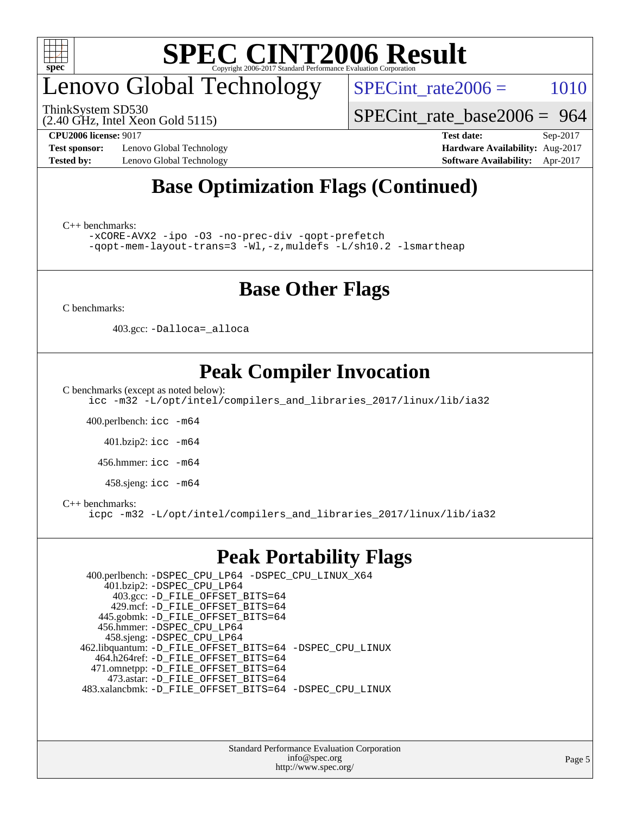

# enovo Global Technology

ThinkSystem SD530

 $SPECTnt_rate2006 = 1010$ 

[SPECint\\_rate\\_base2006 =](http://www.spec.org/auto/cpu2006/Docs/result-fields.html#SPECintratebase2006) 964

(2.40 GHz, Intel Xeon Gold 5115)

**[Test sponsor:](http://www.spec.org/auto/cpu2006/Docs/result-fields.html#Testsponsor)** Lenovo Global Technology **[Hardware Availability:](http://www.spec.org/auto/cpu2006/Docs/result-fields.html#HardwareAvailability)** Aug-2017 **[Tested by:](http://www.spec.org/auto/cpu2006/Docs/result-fields.html#Testedby)** Lenovo Global Technology **[Software Availability:](http://www.spec.org/auto/cpu2006/Docs/result-fields.html#SoftwareAvailability)** Apr-2017

**[CPU2006 license:](http://www.spec.org/auto/cpu2006/Docs/result-fields.html#CPU2006license)** 9017 **[Test date:](http://www.spec.org/auto/cpu2006/Docs/result-fields.html#Testdate)** Sep-2017

### **[Base Optimization Flags \(Continued\)](http://www.spec.org/auto/cpu2006/Docs/result-fields.html#BaseOptimizationFlags)**

[C++ benchmarks:](http://www.spec.org/auto/cpu2006/Docs/result-fields.html#CXXbenchmarks)

[-xCORE-AVX2](http://www.spec.org/cpu2006/results/res2017q4/cpu2006-20170918-50112.flags.html#user_CXXbase_f-xCORE-AVX2) [-ipo](http://www.spec.org/cpu2006/results/res2017q4/cpu2006-20170918-50112.flags.html#user_CXXbase_f-ipo) [-O3](http://www.spec.org/cpu2006/results/res2017q4/cpu2006-20170918-50112.flags.html#user_CXXbase_f-O3) [-no-prec-div](http://www.spec.org/cpu2006/results/res2017q4/cpu2006-20170918-50112.flags.html#user_CXXbase_f-no-prec-div) [-qopt-prefetch](http://www.spec.org/cpu2006/results/res2017q4/cpu2006-20170918-50112.flags.html#user_CXXbase_f-qopt-prefetch) [-qopt-mem-layout-trans=3](http://www.spec.org/cpu2006/results/res2017q4/cpu2006-20170918-50112.flags.html#user_CXXbase_f-qopt-mem-layout-trans_170f5be61cd2cedc9b54468c59262d5d) [-Wl,-z,muldefs](http://www.spec.org/cpu2006/results/res2017q4/cpu2006-20170918-50112.flags.html#user_CXXbase_link_force_multiple1_74079c344b956b9658436fd1b6dd3a8a) [-L/sh10.2 -lsmartheap](http://www.spec.org/cpu2006/results/res2017q4/cpu2006-20170918-50112.flags.html#user_CXXbase_SmartHeap_b831f2d313e2fffa6dfe3f00ffc1f1c0)

### **[Base Other Flags](http://www.spec.org/auto/cpu2006/Docs/result-fields.html#BaseOtherFlags)**

[C benchmarks](http://www.spec.org/auto/cpu2006/Docs/result-fields.html#Cbenchmarks):

403.gcc: [-Dalloca=\\_alloca](http://www.spec.org/cpu2006/results/res2017q4/cpu2006-20170918-50112.flags.html#b403.gcc_baseEXTRA_CFLAGS_Dalloca_be3056838c12de2578596ca5467af7f3)

### **[Peak Compiler Invocation](http://www.spec.org/auto/cpu2006/Docs/result-fields.html#PeakCompilerInvocation)**

[C benchmarks \(except as noted below\)](http://www.spec.org/auto/cpu2006/Docs/result-fields.html#Cbenchmarksexceptasnotedbelow):

[icc -m32 -L/opt/intel/compilers\\_and\\_libraries\\_2017/linux/lib/ia32](http://www.spec.org/cpu2006/results/res2017q4/cpu2006-20170918-50112.flags.html#user_CCpeak_intel_icc_c29f3ff5a7ed067b11e4ec10a03f03ae)

400.perlbench: [icc -m64](http://www.spec.org/cpu2006/results/res2017q4/cpu2006-20170918-50112.flags.html#user_peakCCLD400_perlbench_intel_icc_64bit_bda6cc9af1fdbb0edc3795bac97ada53)

401.bzip2: [icc -m64](http://www.spec.org/cpu2006/results/res2017q4/cpu2006-20170918-50112.flags.html#user_peakCCLD401_bzip2_intel_icc_64bit_bda6cc9af1fdbb0edc3795bac97ada53)

456.hmmer: [icc -m64](http://www.spec.org/cpu2006/results/res2017q4/cpu2006-20170918-50112.flags.html#user_peakCCLD456_hmmer_intel_icc_64bit_bda6cc9af1fdbb0edc3795bac97ada53)

458.sjeng: [icc -m64](http://www.spec.org/cpu2006/results/res2017q4/cpu2006-20170918-50112.flags.html#user_peakCCLD458_sjeng_intel_icc_64bit_bda6cc9af1fdbb0edc3795bac97ada53)

#### [C++ benchmarks:](http://www.spec.org/auto/cpu2006/Docs/result-fields.html#CXXbenchmarks)

[icpc -m32 -L/opt/intel/compilers\\_and\\_libraries\\_2017/linux/lib/ia32](http://www.spec.org/cpu2006/results/res2017q4/cpu2006-20170918-50112.flags.html#user_CXXpeak_intel_icpc_8c35c7808b62dab9ae41a1aa06361b6b)

#### **[Peak Portability Flags](http://www.spec.org/auto/cpu2006/Docs/result-fields.html#PeakPortabilityFlags)**

 400.perlbench: [-DSPEC\\_CPU\\_LP64](http://www.spec.org/cpu2006/results/res2017q4/cpu2006-20170918-50112.flags.html#b400.perlbench_peakCPORTABILITY_DSPEC_CPU_LP64) [-DSPEC\\_CPU\\_LINUX\\_X64](http://www.spec.org/cpu2006/results/res2017q4/cpu2006-20170918-50112.flags.html#b400.perlbench_peakCPORTABILITY_DSPEC_CPU_LINUX_X64) 401.bzip2: [-DSPEC\\_CPU\\_LP64](http://www.spec.org/cpu2006/results/res2017q4/cpu2006-20170918-50112.flags.html#suite_peakCPORTABILITY401_bzip2_DSPEC_CPU_LP64) 403.gcc: [-D\\_FILE\\_OFFSET\\_BITS=64](http://www.spec.org/cpu2006/results/res2017q4/cpu2006-20170918-50112.flags.html#user_peakPORTABILITY403_gcc_file_offset_bits_64_438cf9856305ebd76870a2c6dc2689ab) 429.mcf: [-D\\_FILE\\_OFFSET\\_BITS=64](http://www.spec.org/cpu2006/results/res2017q4/cpu2006-20170918-50112.flags.html#user_peakPORTABILITY429_mcf_file_offset_bits_64_438cf9856305ebd76870a2c6dc2689ab) 445.gobmk: [-D\\_FILE\\_OFFSET\\_BITS=64](http://www.spec.org/cpu2006/results/res2017q4/cpu2006-20170918-50112.flags.html#user_peakPORTABILITY445_gobmk_file_offset_bits_64_438cf9856305ebd76870a2c6dc2689ab) 456.hmmer: [-DSPEC\\_CPU\\_LP64](http://www.spec.org/cpu2006/results/res2017q4/cpu2006-20170918-50112.flags.html#suite_peakCPORTABILITY456_hmmer_DSPEC_CPU_LP64) 458.sjeng: [-DSPEC\\_CPU\\_LP64](http://www.spec.org/cpu2006/results/res2017q4/cpu2006-20170918-50112.flags.html#suite_peakCPORTABILITY458_sjeng_DSPEC_CPU_LP64) 462.libquantum: [-D\\_FILE\\_OFFSET\\_BITS=64](http://www.spec.org/cpu2006/results/res2017q4/cpu2006-20170918-50112.flags.html#user_peakPORTABILITY462_libquantum_file_offset_bits_64_438cf9856305ebd76870a2c6dc2689ab) [-DSPEC\\_CPU\\_LINUX](http://www.spec.org/cpu2006/results/res2017q4/cpu2006-20170918-50112.flags.html#b462.libquantum_peakCPORTABILITY_DSPEC_CPU_LINUX) 464.h264ref: [-D\\_FILE\\_OFFSET\\_BITS=64](http://www.spec.org/cpu2006/results/res2017q4/cpu2006-20170918-50112.flags.html#user_peakPORTABILITY464_h264ref_file_offset_bits_64_438cf9856305ebd76870a2c6dc2689ab) 471.omnetpp: [-D\\_FILE\\_OFFSET\\_BITS=64](http://www.spec.org/cpu2006/results/res2017q4/cpu2006-20170918-50112.flags.html#user_peakPORTABILITY471_omnetpp_file_offset_bits_64_438cf9856305ebd76870a2c6dc2689ab) 473.astar: [-D\\_FILE\\_OFFSET\\_BITS=64](http://www.spec.org/cpu2006/results/res2017q4/cpu2006-20170918-50112.flags.html#user_peakPORTABILITY473_astar_file_offset_bits_64_438cf9856305ebd76870a2c6dc2689ab) 483.xalancbmk: [-D\\_FILE\\_OFFSET\\_BITS=64](http://www.spec.org/cpu2006/results/res2017q4/cpu2006-20170918-50112.flags.html#user_peakPORTABILITY483_xalancbmk_file_offset_bits_64_438cf9856305ebd76870a2c6dc2689ab) [-DSPEC\\_CPU\\_LINUX](http://www.spec.org/cpu2006/results/res2017q4/cpu2006-20170918-50112.flags.html#b483.xalancbmk_peakCXXPORTABILITY_DSPEC_CPU_LINUX)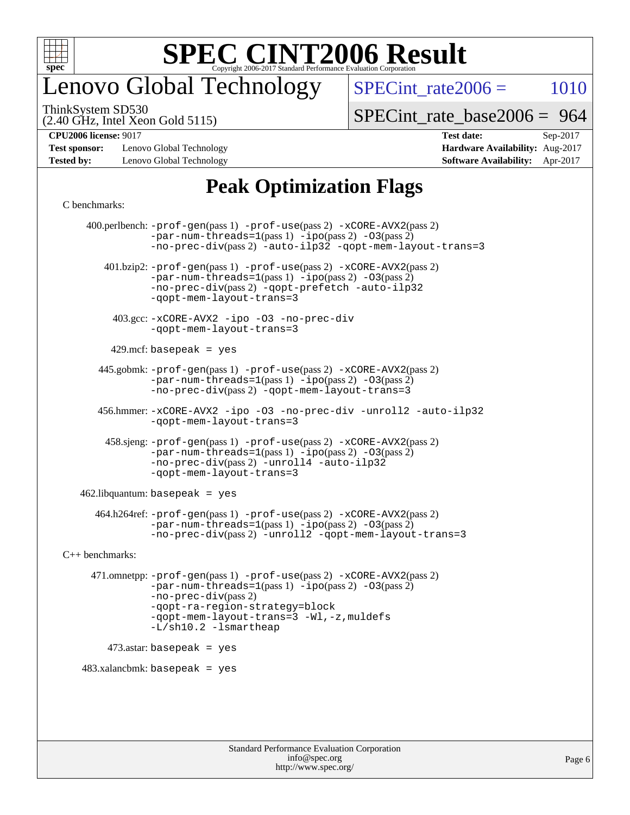

### enovo Global Technology

 $SPECTnt_rate2006 = 1010$ 

(2.40 GHz, Intel Xeon Gold 5115) ThinkSystem SD530

[SPECint\\_rate\\_base2006 =](http://www.spec.org/auto/cpu2006/Docs/result-fields.html#SPECintratebase2006) 964

**[Test sponsor:](http://www.spec.org/auto/cpu2006/Docs/result-fields.html#Testsponsor)** Lenovo Global Technology **[Hardware Availability:](http://www.spec.org/auto/cpu2006/Docs/result-fields.html#HardwareAvailability)** Aug-2017 **[Tested by:](http://www.spec.org/auto/cpu2006/Docs/result-fields.html#Testedby)** Lenovo Global Technology **[Software Availability:](http://www.spec.org/auto/cpu2006/Docs/result-fields.html#SoftwareAvailability)** Apr-2017

**[CPU2006 license:](http://www.spec.org/auto/cpu2006/Docs/result-fields.html#CPU2006license)** 9017 **[Test date:](http://www.spec.org/auto/cpu2006/Docs/result-fields.html#Testdate)** Sep-2017

### **[Peak Optimization Flags](http://www.spec.org/auto/cpu2006/Docs/result-fields.html#PeakOptimizationFlags)**

#### [C benchmarks](http://www.spec.org/auto/cpu2006/Docs/result-fields.html#Cbenchmarks):

 400.perlbench: [-prof-gen](http://www.spec.org/cpu2006/results/res2017q4/cpu2006-20170918-50112.flags.html#user_peakPASS1_CFLAGSPASS1_LDCFLAGS400_perlbench_prof_gen_e43856698f6ca7b7e442dfd80e94a8fc)(pass 1) [-prof-use](http://www.spec.org/cpu2006/results/res2017q4/cpu2006-20170918-50112.flags.html#user_peakPASS2_CFLAGSPASS2_LDCFLAGS400_perlbench_prof_use_bccf7792157ff70d64e32fe3e1250b55)(pass 2) [-xCORE-AVX2](http://www.spec.org/cpu2006/results/res2017q4/cpu2006-20170918-50112.flags.html#user_peakPASS2_CFLAGSPASS2_LDCFLAGS400_perlbench_f-xCORE-AVX2)(pass 2)  $-par-num-threads=1(pass 1) -ipo(pass 2) -O3(pass 2)$  $-par-num-threads=1(pass 1) -ipo(pass 2) -O3(pass 2)$  $-par-num-threads=1(pass 1) -ipo(pass 2) -O3(pass 2)$  $-par-num-threads=1(pass 1) -ipo(pass 2) -O3(pass 2)$  $-par-num-threads=1(pass 1) -ipo(pass 2) -O3(pass 2)$  $-par-num-threads=1(pass 1) -ipo(pass 2) -O3(pass 2)$ [-no-prec-div](http://www.spec.org/cpu2006/results/res2017q4/cpu2006-20170918-50112.flags.html#user_peakPASS2_CFLAGSPASS2_LDCFLAGS400_perlbench_f-no-prec-div)(pass 2) [-auto-ilp32](http://www.spec.org/cpu2006/results/res2017q4/cpu2006-20170918-50112.flags.html#user_peakCOPTIMIZE400_perlbench_f-auto-ilp32) [-qopt-mem-layout-trans=3](http://www.spec.org/cpu2006/results/res2017q4/cpu2006-20170918-50112.flags.html#user_peakCOPTIMIZE400_perlbench_f-qopt-mem-layout-trans_170f5be61cd2cedc9b54468c59262d5d) 401.bzip2: [-prof-gen](http://www.spec.org/cpu2006/results/res2017q4/cpu2006-20170918-50112.flags.html#user_peakPASS1_CFLAGSPASS1_LDCFLAGS401_bzip2_prof_gen_e43856698f6ca7b7e442dfd80e94a8fc)(pass 1) [-prof-use](http://www.spec.org/cpu2006/results/res2017q4/cpu2006-20170918-50112.flags.html#user_peakPASS2_CFLAGSPASS2_LDCFLAGS401_bzip2_prof_use_bccf7792157ff70d64e32fe3e1250b55)(pass 2) [-xCORE-AVX2](http://www.spec.org/cpu2006/results/res2017q4/cpu2006-20170918-50112.flags.html#user_peakPASS2_CFLAGSPASS2_LDCFLAGS401_bzip2_f-xCORE-AVX2)(pass 2) [-par-num-threads=1](http://www.spec.org/cpu2006/results/res2017q4/cpu2006-20170918-50112.flags.html#user_peakPASS1_CFLAGSPASS1_LDCFLAGS401_bzip2_par_num_threads_786a6ff141b4e9e90432e998842df6c2)(pass 1) [-ipo](http://www.spec.org/cpu2006/results/res2017q4/cpu2006-20170918-50112.flags.html#user_peakPASS2_CFLAGSPASS2_LDCFLAGS401_bzip2_f-ipo)(pass 2) [-O3](http://www.spec.org/cpu2006/results/res2017q4/cpu2006-20170918-50112.flags.html#user_peakPASS2_CFLAGSPASS2_LDCFLAGS401_bzip2_f-O3)(pass 2) [-no-prec-div](http://www.spec.org/cpu2006/results/res2017q4/cpu2006-20170918-50112.flags.html#user_peakPASS2_CFLAGSPASS2_LDCFLAGS401_bzip2_f-no-prec-div)(pass 2) [-qopt-prefetch](http://www.spec.org/cpu2006/results/res2017q4/cpu2006-20170918-50112.flags.html#user_peakCOPTIMIZE401_bzip2_f-qopt-prefetch) [-auto-ilp32](http://www.spec.org/cpu2006/results/res2017q4/cpu2006-20170918-50112.flags.html#user_peakCOPTIMIZE401_bzip2_f-auto-ilp32) [-qopt-mem-layout-trans=3](http://www.spec.org/cpu2006/results/res2017q4/cpu2006-20170918-50112.flags.html#user_peakCOPTIMIZE401_bzip2_f-qopt-mem-layout-trans_170f5be61cd2cedc9b54468c59262d5d) 403.gcc: [-xCORE-AVX2](http://www.spec.org/cpu2006/results/res2017q4/cpu2006-20170918-50112.flags.html#user_peakOPTIMIZE403_gcc_f-xCORE-AVX2) [-ipo](http://www.spec.org/cpu2006/results/res2017q4/cpu2006-20170918-50112.flags.html#user_peakOPTIMIZE403_gcc_f-ipo) [-O3](http://www.spec.org/cpu2006/results/res2017q4/cpu2006-20170918-50112.flags.html#user_peakOPTIMIZE403_gcc_f-O3) [-no-prec-div](http://www.spec.org/cpu2006/results/res2017q4/cpu2006-20170918-50112.flags.html#user_peakOPTIMIZE403_gcc_f-no-prec-div) [-qopt-mem-layout-trans=3](http://www.spec.org/cpu2006/results/res2017q4/cpu2006-20170918-50112.flags.html#user_peakCOPTIMIZE403_gcc_f-qopt-mem-layout-trans_170f5be61cd2cedc9b54468c59262d5d)  $429$ .mcf: basepeak = yes 445.gobmk: [-prof-gen](http://www.spec.org/cpu2006/results/res2017q4/cpu2006-20170918-50112.flags.html#user_peakPASS1_CFLAGSPASS1_LDCFLAGS445_gobmk_prof_gen_e43856698f6ca7b7e442dfd80e94a8fc)(pass 1) [-prof-use](http://www.spec.org/cpu2006/results/res2017q4/cpu2006-20170918-50112.flags.html#user_peakPASS2_CFLAGSPASS2_LDCFLAGSPASS2_LDFLAGS445_gobmk_prof_use_bccf7792157ff70d64e32fe3e1250b55)(pass 2) [-xCORE-AVX2](http://www.spec.org/cpu2006/results/res2017q4/cpu2006-20170918-50112.flags.html#user_peakPASS2_CFLAGSPASS2_LDCFLAGSPASS2_LDFLAGS445_gobmk_f-xCORE-AVX2)(pass 2)  $-par-num-threads=1(pass 1) -ipo(pass 2) -O3(pass 2)$  $-par-num-threads=1(pass 1) -ipo(pass 2) -O3(pass 2)$  $-par-num-threads=1(pass 1) -ipo(pass 2) -O3(pass 2)$  $-par-num-threads=1(pass 1) -ipo(pass 2) -O3(pass 2)$  $-par-num-threads=1(pass 1) -ipo(pass 2) -O3(pass 2)$  $-par-num-threads=1(pass 1) -ipo(pass 2) -O3(pass 2)$ [-no-prec-div](http://www.spec.org/cpu2006/results/res2017q4/cpu2006-20170918-50112.flags.html#user_peakPASS2_LDCFLAGS445_gobmk_f-no-prec-div)(pass 2) [-qopt-mem-layout-trans=3](http://www.spec.org/cpu2006/results/res2017q4/cpu2006-20170918-50112.flags.html#user_peakCOPTIMIZE445_gobmk_f-qopt-mem-layout-trans_170f5be61cd2cedc9b54468c59262d5d) 456.hmmer: [-xCORE-AVX2](http://www.spec.org/cpu2006/results/res2017q4/cpu2006-20170918-50112.flags.html#user_peakOPTIMIZE456_hmmer_f-xCORE-AVX2) [-ipo](http://www.spec.org/cpu2006/results/res2017q4/cpu2006-20170918-50112.flags.html#user_peakOPTIMIZE456_hmmer_f-ipo) [-O3](http://www.spec.org/cpu2006/results/res2017q4/cpu2006-20170918-50112.flags.html#user_peakOPTIMIZE456_hmmer_f-O3) [-no-prec-div](http://www.spec.org/cpu2006/results/res2017q4/cpu2006-20170918-50112.flags.html#user_peakOPTIMIZE456_hmmer_f-no-prec-div) [-unroll2](http://www.spec.org/cpu2006/results/res2017q4/cpu2006-20170918-50112.flags.html#user_peakCOPTIMIZE456_hmmer_f-unroll_784dae83bebfb236979b41d2422d7ec2) [-auto-ilp32](http://www.spec.org/cpu2006/results/res2017q4/cpu2006-20170918-50112.flags.html#user_peakCOPTIMIZE456_hmmer_f-auto-ilp32) [-qopt-mem-layout-trans=3](http://www.spec.org/cpu2006/results/res2017q4/cpu2006-20170918-50112.flags.html#user_peakCOPTIMIZE456_hmmer_f-qopt-mem-layout-trans_170f5be61cd2cedc9b54468c59262d5d) 458.sjeng: [-prof-gen](http://www.spec.org/cpu2006/results/res2017q4/cpu2006-20170918-50112.flags.html#user_peakPASS1_CFLAGSPASS1_LDCFLAGS458_sjeng_prof_gen_e43856698f6ca7b7e442dfd80e94a8fc)(pass 1) [-prof-use](http://www.spec.org/cpu2006/results/res2017q4/cpu2006-20170918-50112.flags.html#user_peakPASS2_CFLAGSPASS2_LDCFLAGS458_sjeng_prof_use_bccf7792157ff70d64e32fe3e1250b55)(pass 2) [-xCORE-AVX2](http://www.spec.org/cpu2006/results/res2017q4/cpu2006-20170918-50112.flags.html#user_peakPASS2_CFLAGSPASS2_LDCFLAGS458_sjeng_f-xCORE-AVX2)(pass 2)  $-par-num-threads=1(pass 1) -ipo(pass 2) -O3(pass 2)$  $-par-num-threads=1(pass 1) -ipo(pass 2) -O3(pass 2)$  $-par-num-threads=1(pass 1) -ipo(pass 2) -O3(pass 2)$  $-par-num-threads=1(pass 1) -ipo(pass 2) -O3(pass 2)$  $-par-num-threads=1(pass 1) -ipo(pass 2) -O3(pass 2)$  $-par-num-threads=1(pass 1) -ipo(pass 2) -O3(pass 2)$ [-no-prec-div](http://www.spec.org/cpu2006/results/res2017q4/cpu2006-20170918-50112.flags.html#user_peakPASS2_CFLAGSPASS2_LDCFLAGS458_sjeng_f-no-prec-div)(pass 2) [-unroll4](http://www.spec.org/cpu2006/results/res2017q4/cpu2006-20170918-50112.flags.html#user_peakCOPTIMIZE458_sjeng_f-unroll_4e5e4ed65b7fd20bdcd365bec371b81f) [-auto-ilp32](http://www.spec.org/cpu2006/results/res2017q4/cpu2006-20170918-50112.flags.html#user_peakCOPTIMIZE458_sjeng_f-auto-ilp32) [-qopt-mem-layout-trans=3](http://www.spec.org/cpu2006/results/res2017q4/cpu2006-20170918-50112.flags.html#user_peakCOPTIMIZE458_sjeng_f-qopt-mem-layout-trans_170f5be61cd2cedc9b54468c59262d5d)  $462$ .libquantum: basepeak = yes 464.h264ref: [-prof-gen](http://www.spec.org/cpu2006/results/res2017q4/cpu2006-20170918-50112.flags.html#user_peakPASS1_CFLAGSPASS1_LDCFLAGS464_h264ref_prof_gen_e43856698f6ca7b7e442dfd80e94a8fc)(pass 1) [-prof-use](http://www.spec.org/cpu2006/results/res2017q4/cpu2006-20170918-50112.flags.html#user_peakPASS2_CFLAGSPASS2_LDCFLAGS464_h264ref_prof_use_bccf7792157ff70d64e32fe3e1250b55)(pass 2) [-xCORE-AVX2](http://www.spec.org/cpu2006/results/res2017q4/cpu2006-20170918-50112.flags.html#user_peakPASS2_CFLAGSPASS2_LDCFLAGS464_h264ref_f-xCORE-AVX2)(pass 2)  $-par-num-threads=1(pass 1) -ipo(pass 2) -O3(pass 2)$  $-par-num-threads=1(pass 1) -ipo(pass 2) -O3(pass 2)$  $-par-num-threads=1(pass 1) -ipo(pass 2) -O3(pass 2)$  $-par-num-threads=1(pass 1) -ipo(pass 2) -O3(pass 2)$  $-par-num-threads=1(pass 1) -ipo(pass 2) -O3(pass 2)$  $-par-num-threads=1(pass 1) -ipo(pass 2) -O3(pass 2)$ [-no-prec-div](http://www.spec.org/cpu2006/results/res2017q4/cpu2006-20170918-50112.flags.html#user_peakPASS2_CFLAGSPASS2_LDCFLAGS464_h264ref_f-no-prec-div)(pass 2) [-unroll2](http://www.spec.org/cpu2006/results/res2017q4/cpu2006-20170918-50112.flags.html#user_peakCOPTIMIZE464_h264ref_f-unroll_784dae83bebfb236979b41d2422d7ec2) [-qopt-mem-layout-trans=3](http://www.spec.org/cpu2006/results/res2017q4/cpu2006-20170918-50112.flags.html#user_peakCOPTIMIZE464_h264ref_f-qopt-mem-layout-trans_170f5be61cd2cedc9b54468c59262d5d) [C++ benchmarks:](http://www.spec.org/auto/cpu2006/Docs/result-fields.html#CXXbenchmarks) 471.omnetpp: [-prof-gen](http://www.spec.org/cpu2006/results/res2017q4/cpu2006-20170918-50112.flags.html#user_peakPASS1_CXXFLAGSPASS1_LDCXXFLAGS471_omnetpp_prof_gen_e43856698f6ca7b7e442dfd80e94a8fc)(pass 1) [-prof-use](http://www.spec.org/cpu2006/results/res2017q4/cpu2006-20170918-50112.flags.html#user_peakPASS2_CXXFLAGSPASS2_LDCXXFLAGS471_omnetpp_prof_use_bccf7792157ff70d64e32fe3e1250b55)(pass 2) [-xCORE-AVX2](http://www.spec.org/cpu2006/results/res2017q4/cpu2006-20170918-50112.flags.html#user_peakPASS2_CXXFLAGSPASS2_LDCXXFLAGS471_omnetpp_f-xCORE-AVX2)(pass 2)  $-par-num-threads=1(pass 1) -ipo(pass 2) -O3(pass 2)$  $-par-num-threads=1(pass 1) -ipo(pass 2) -O3(pass 2)$  $-par-num-threads=1(pass 1) -ipo(pass 2) -O3(pass 2)$  $-par-num-threads=1(pass 1) -ipo(pass 2) -O3(pass 2)$  $-par-num-threads=1(pass 1) -ipo(pass 2) -O3(pass 2)$  $-par-num-threads=1(pass 1) -ipo(pass 2) -O3(pass 2)$ [-no-prec-div](http://www.spec.org/cpu2006/results/res2017q4/cpu2006-20170918-50112.flags.html#user_peakPASS2_CXXFLAGSPASS2_LDCXXFLAGS471_omnetpp_f-no-prec-div)(pass 2) [-qopt-ra-region-strategy=block](http://www.spec.org/cpu2006/results/res2017q4/cpu2006-20170918-50112.flags.html#user_peakCXXOPTIMIZE471_omnetpp_f-qopt-ra-region-strategy_430aa8f7c220cbde92ae827fa8d9be32)  [-qopt-mem-layout-trans=3](http://www.spec.org/cpu2006/results/res2017q4/cpu2006-20170918-50112.flags.html#user_peakCXXOPTIMIZE471_omnetpp_f-qopt-mem-layout-trans_170f5be61cd2cedc9b54468c59262d5d) [-Wl,-z,muldefs](http://www.spec.org/cpu2006/results/res2017q4/cpu2006-20170918-50112.flags.html#user_peakEXTRA_LDFLAGS471_omnetpp_link_force_multiple1_74079c344b956b9658436fd1b6dd3a8a) [-L/sh10.2 -lsmartheap](http://www.spec.org/cpu2006/results/res2017q4/cpu2006-20170918-50112.flags.html#user_peakEXTRA_LIBS471_omnetpp_SmartHeap_b831f2d313e2fffa6dfe3f00ffc1f1c0) 473.astar: basepeak = yes  $483.xalanchmk: basepeak = yes$